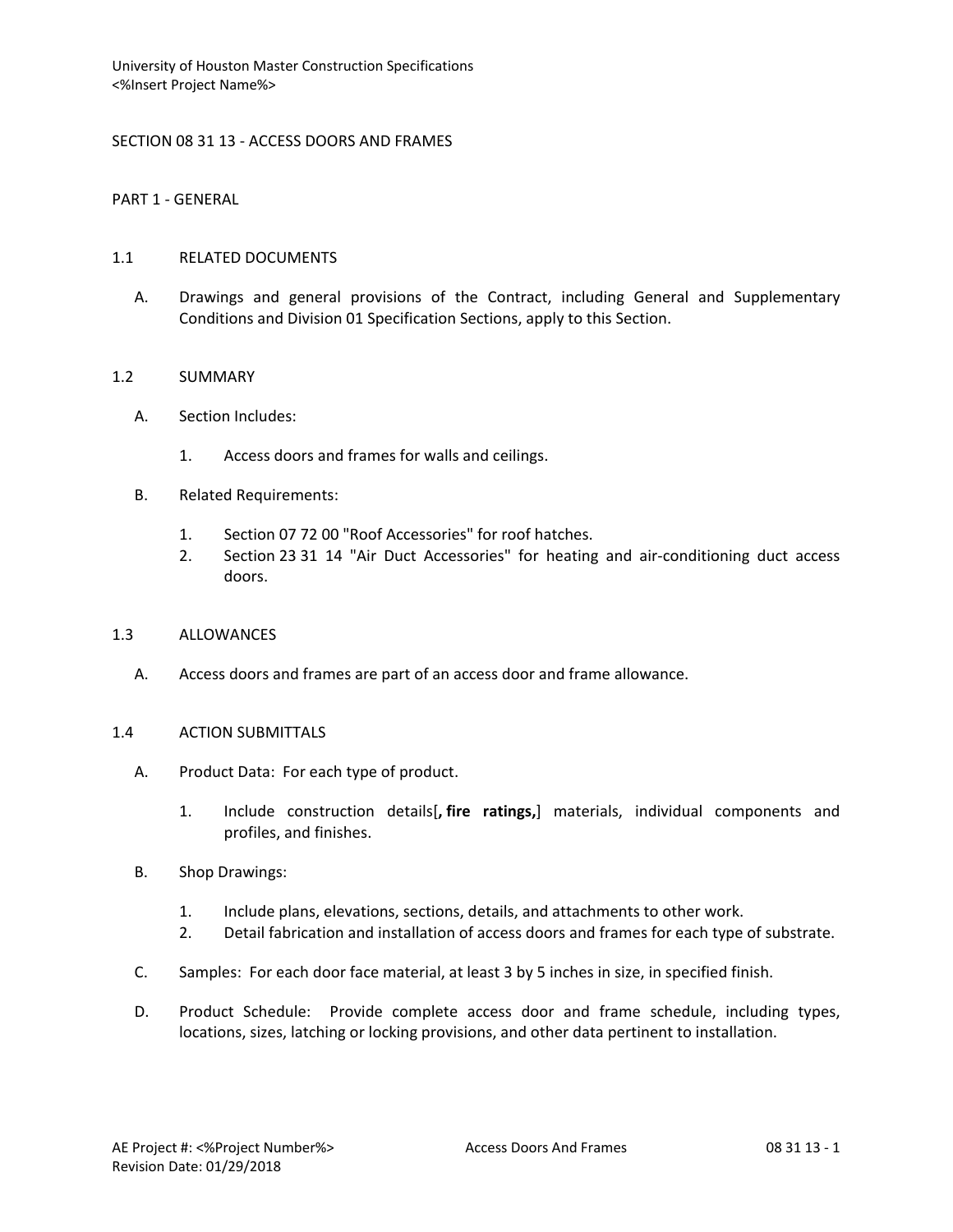## SECTION 08 31 13 - ACCESS DOORS AND FRAMES

PART 1 - GENERAL

### 1.1 RELATED DOCUMENTS

A. Drawings and general provisions of the Contract, including General and Supplementary Conditions and Division 01 Specification Sections, apply to this Section.

### 1.2 SUMMARY

- A. Section Includes:
	- 1. Access doors and frames for walls and ceilings.
- B. Related Requirements:
	- 1. Section 07 72 00 "Roof Accessories" for roof hatches.
	- 2. Section 23 31 14 "Air Duct Accessories" for heating and air-conditioning duct access doors.

### 1.3 ALLOWANCES

A. Access doors and frames are part of an access door and frame allowance.

#### 1.4 ACTION SUBMITTALS

- A. Product Data: For each type of product.
	- 1. Include construction details[**, fire ratings,**] materials, individual components and profiles, and finishes.
- B. Shop Drawings:
	- 1. Include plans, elevations, sections, details, and attachments to other work.
	- 2. Detail fabrication and installation of access doors and frames for each type of substrate.
- C. Samples: For each door face material, at least 3 by 5 inches in size, in specified finish.
- D. Product Schedule: Provide complete access door and frame schedule, including types, locations, sizes, latching or locking provisions, and other data pertinent to installation.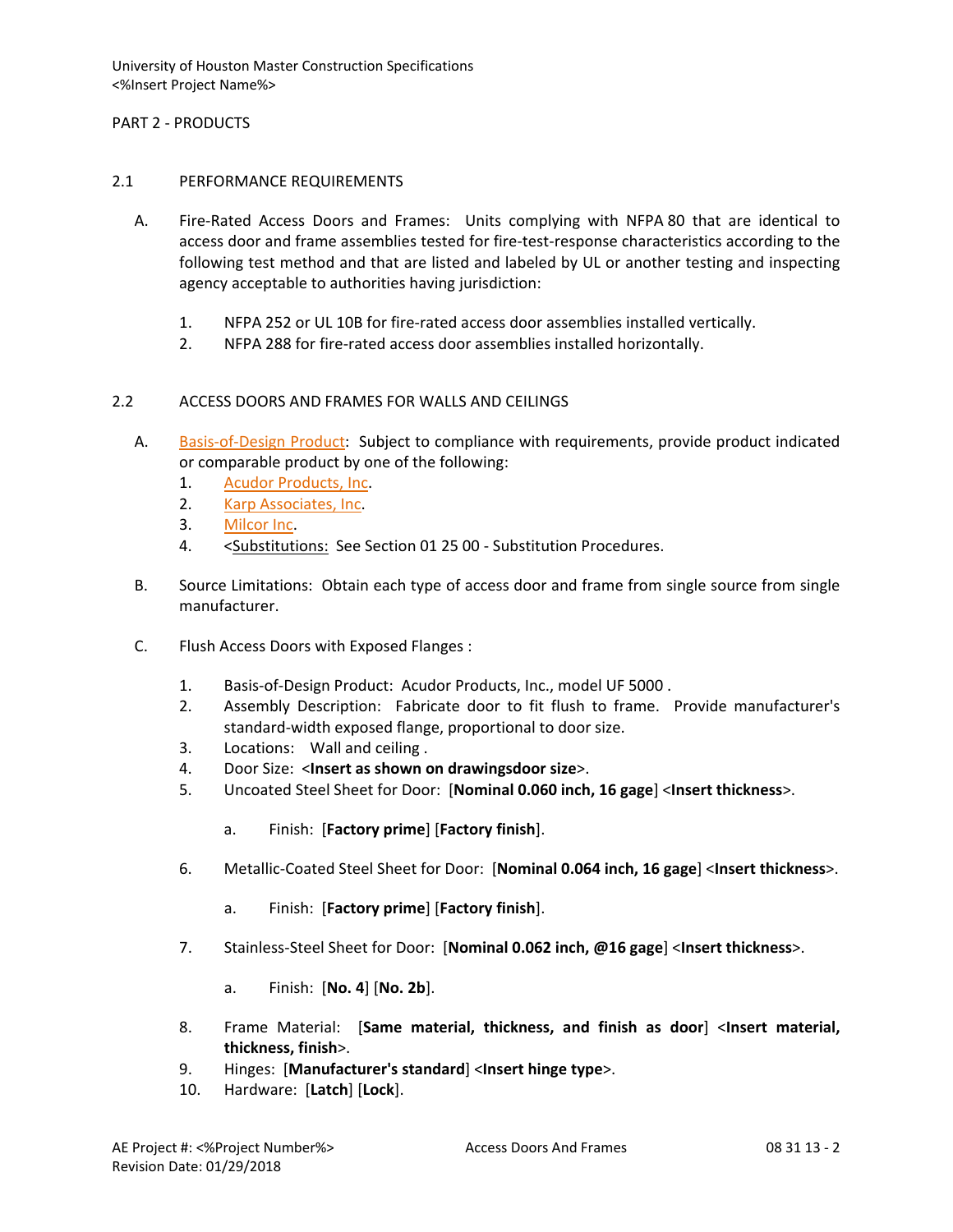## PART 2 - PRODUCTS

### 2.1 PERFORMANCE REQUIREMENTS

- A. Fire-Rated Access Doors and Frames: Units complying with NFPA 80 that are identical to access door and frame assemblies tested for fire-test-response characteristics according to the following test method and that are listed and labeled by UL or another testing and inspecting agency acceptable to authorities having jurisdiction:
	- 1. NFPA 252 or UL 10B for fire-rated access door assemblies installed vertically.
	- 2. NFPA 288 for fire-rated access door assemblies installed horizontally.

# 2.2 ACCESS DOORS AND FRAMES FOR WALLS AND CEILINGS

- A. [Basis-of-Design Product:](http://www.specagent.com/LookUp/?ulid=14&mf=04&src=wd) Subject to compliance with requirements, provide product indicated or comparable product by one of the following:
	- 1. [Acudor Products, Inc.](http://www.specagent.com/LookUp/?uid=123456789428&mf=04&src=wd)
	- 2. [Karp Associates, Inc.](http://www.specagent.com/LookUp/?uid=123456789432&mf=04&src=wd)
	- 3. [Milcor Inc.](http://www.specagent.com/LookUp/?uid=123456789437&mf=04&src=wd)
	- 4. <Substitutions: See Section 01 25 00 Substitution Procedures.
- B. Source Limitations: Obtain each type of access door and frame from single source from single manufacturer.
- C. Flush Access Doors with Exposed Flanges :
	- 1. Basis-of-Design Product: Acudor Products, Inc., model UF 5000 .
	- 2. Assembly Description: Fabricate door to fit flush to frame. Provide manufacturer's standard-width exposed flange, proportional to door size.
	- 3. Locations: Wall and ceiling .
	- 4. Door Size: <**Insert as shown on drawingsdoor size**>.
	- 5. Uncoated Steel Sheet for Door: [**Nominal 0.060 inch, 16 gage**] <**Insert thickness**>.
		- a. Finish: [**Factory prime**] [**Factory finish**].
	- 6. Metallic-Coated Steel Sheet for Door: [**Nominal 0.064 inch, 16 gage**] <**Insert thickness**>.
		- a. Finish: [**Factory prime**] [**Factory finish**].
	- 7. Stainless-Steel Sheet for Door: [**Nominal 0.062 inch, @16 gage**] <**Insert thickness**>.
		- a. Finish: [**No. 4**] [**No. 2b**].
	- 8. Frame Material: [**Same material, thickness, and finish as door**] <**Insert material, thickness, finish**>.
	- 9. Hinges: [**Manufacturer's standard**] <**Insert hinge type**>.
	- 10. Hardware: [**Latch**] [**Lock**].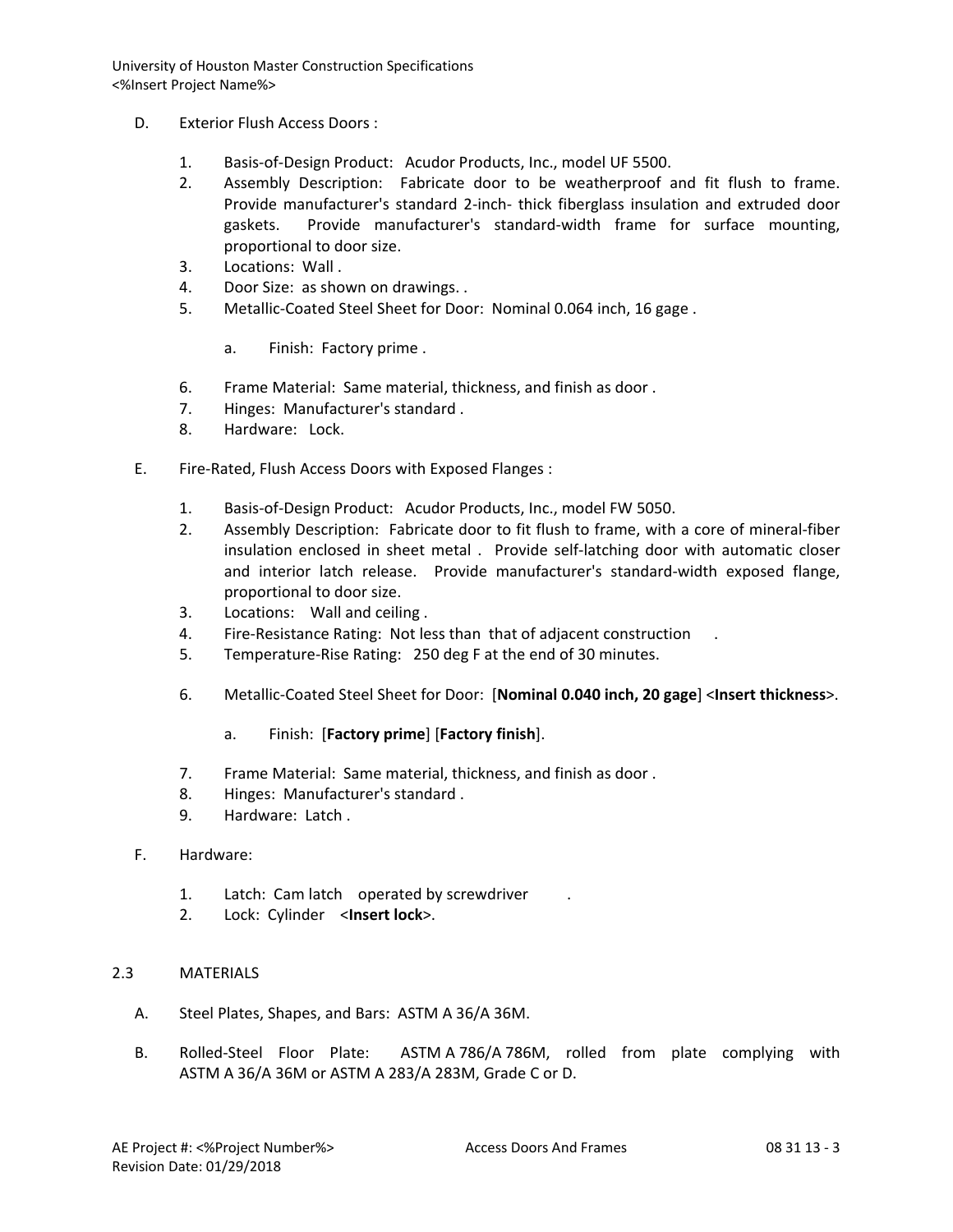- D. Exterior Flush Access Doors :
	- 1. Basis-of-Design Product: Acudor Products, Inc., model UF 5500.
	- 2. Assembly Description: Fabricate door to be weatherproof and fit flush to frame. Provide manufacturer's standard 2-inch- thick fiberglass insulation and extruded door gaskets. Provide manufacturer's standard-width frame for surface mounting, proportional to door size.
	- 3. Locations: Wall .
	- 4. Door Size: as shown on drawings. .
	- 5. Metallic-Coated Steel Sheet for Door: Nominal 0.064 inch, 16 gage .
		- a. Finish: Factory prime .
	- 6. Frame Material: Same material, thickness, and finish as door .
	- 7. Hinges: Manufacturer's standard .
	- 8. Hardware: Lock.
- E. Fire-Rated, Flush Access Doors with Exposed Flanges :
	- 1. Basis-of-Design Product: Acudor Products, Inc., model FW 5050.
	- 2. Assembly Description: Fabricate door to fit flush to frame, with a core of mineral-fiber insulation enclosed in sheet metal . Provide self-latching door with automatic closer and interior latch release. Provide manufacturer's standard-width exposed flange, proportional to door size.
	- 3. Locations: Wall and ceiling .
	- 4. Fire-Resistance Rating: Not less than that of adjacent construction .
	- 5. Temperature-Rise Rating: 250 deg F at the end of 30 minutes.
	- 6. Metallic-Coated Steel Sheet for Door: [**Nominal 0.040 inch, 20 gage**] <**Insert thickness**>.
		- a. Finish: [**Factory prime**] [**Factory finish**].
	- 7. Frame Material: Same material, thickness, and finish as door .
	- 8. Hinges: Manufacturer's standard .
	- 9. Hardware: Latch .
- F. Hardware:
	- 1. Latch: Cam latch operated by screwdriver .
	- 2. Lock: Cylinder <**Insert lock**>.

#### 2.3 MATERIALS

- A. Steel Plates, Shapes, and Bars: ASTM A 36/A 36M.
- B. Rolled-Steel Floor Plate: ASTM A 786/A 786M, rolled from plate complying with ASTM A 36/A 36M or ASTM A 283/A 283M, Grade C or D.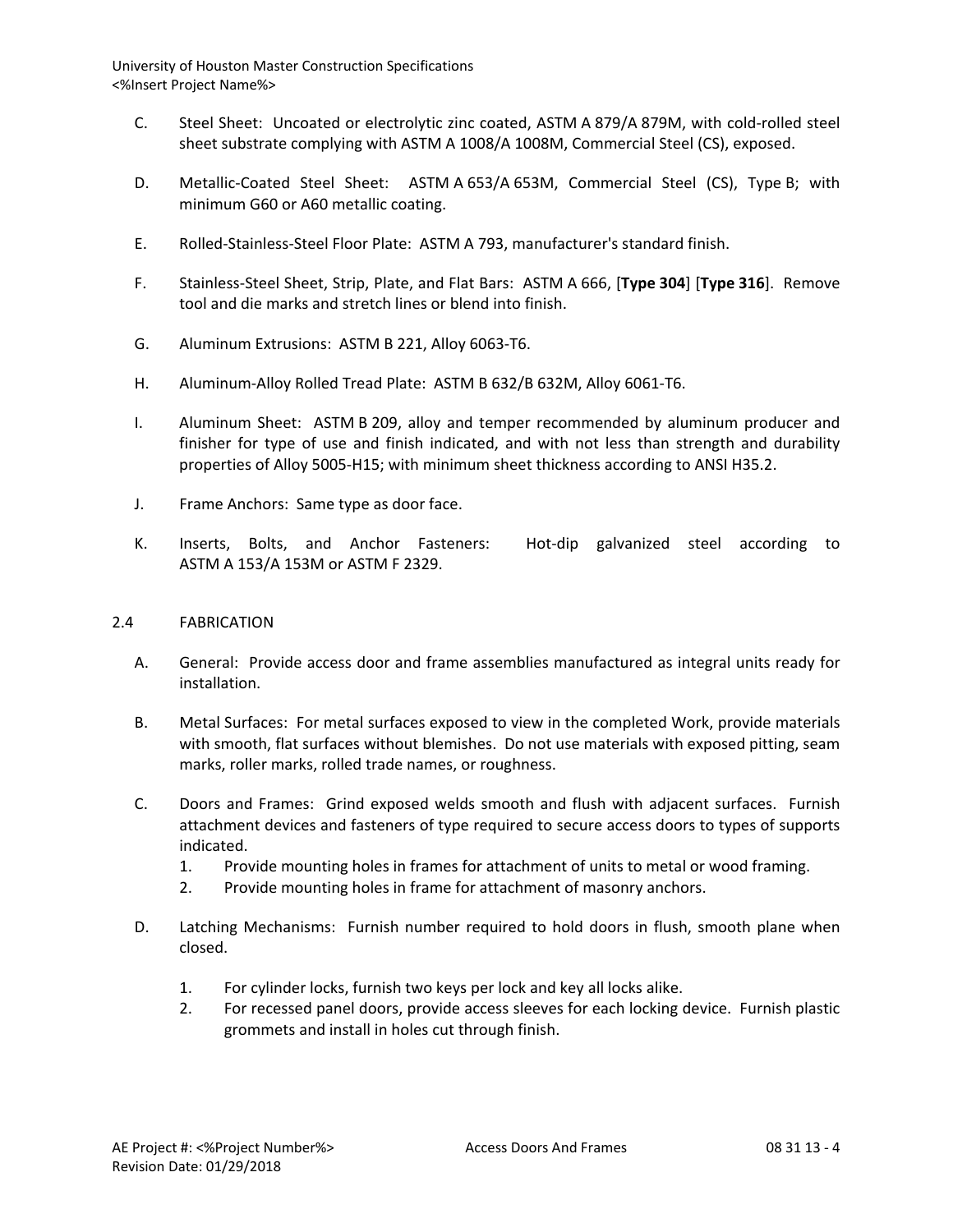- C. Steel Sheet: Uncoated or electrolytic zinc coated, ASTM A 879/A 879M, with cold-rolled steel sheet substrate complying with ASTM A 1008/A 1008M, Commercial Steel (CS), exposed.
- D. Metallic-Coated Steel Sheet: ASTM A 653/A 653M, Commercial Steel (CS), Type B; with minimum G60 or A60 metallic coating.
- E. Rolled-Stainless-Steel Floor Plate: ASTM A 793, manufacturer's standard finish.
- F. Stainless-Steel Sheet, Strip, Plate, and Flat Bars: ASTM A 666, [**Type 304**] [**Type 316**]. Remove tool and die marks and stretch lines or blend into finish.
- G. Aluminum Extrusions: ASTM B 221, Alloy 6063-T6.
- H. Aluminum-Alloy Rolled Tread Plate: ASTM B 632/B 632M, Alloy 6061-T6.
- I. Aluminum Sheet: ASTM B 209, alloy and temper recommended by aluminum producer and finisher for type of use and finish indicated, and with not less than strength and durability properties of Alloy 5005-H15; with minimum sheet thickness according to ANSI H35.2.
- J. Frame Anchors: Same type as door face.
- K. Inserts, Bolts, and Anchor Fasteners: Hot-dip galvanized steel according to ASTM A 153/A 153M or ASTM F 2329.

#### 2.4 FABRICATION

- A. General: Provide access door and frame assemblies manufactured as integral units ready for installation.
- B. Metal Surfaces: For metal surfaces exposed to view in the completed Work, provide materials with smooth, flat surfaces without blemishes. Do not use materials with exposed pitting, seam marks, roller marks, rolled trade names, or roughness.
- C. Doors and Frames: Grind exposed welds smooth and flush with adjacent surfaces. Furnish attachment devices and fasteners of type required to secure access doors to types of supports indicated.
	- 1. Provide mounting holes in frames for attachment of units to metal or wood framing.
	- 2. Provide mounting holes in frame for attachment of masonry anchors.
- D. Latching Mechanisms: Furnish number required to hold doors in flush, smooth plane when closed.
	- 1. For cylinder locks, furnish two keys per lock and key all locks alike.
	- 2. For recessed panel doors, provide access sleeves for each locking device. Furnish plastic grommets and install in holes cut through finish.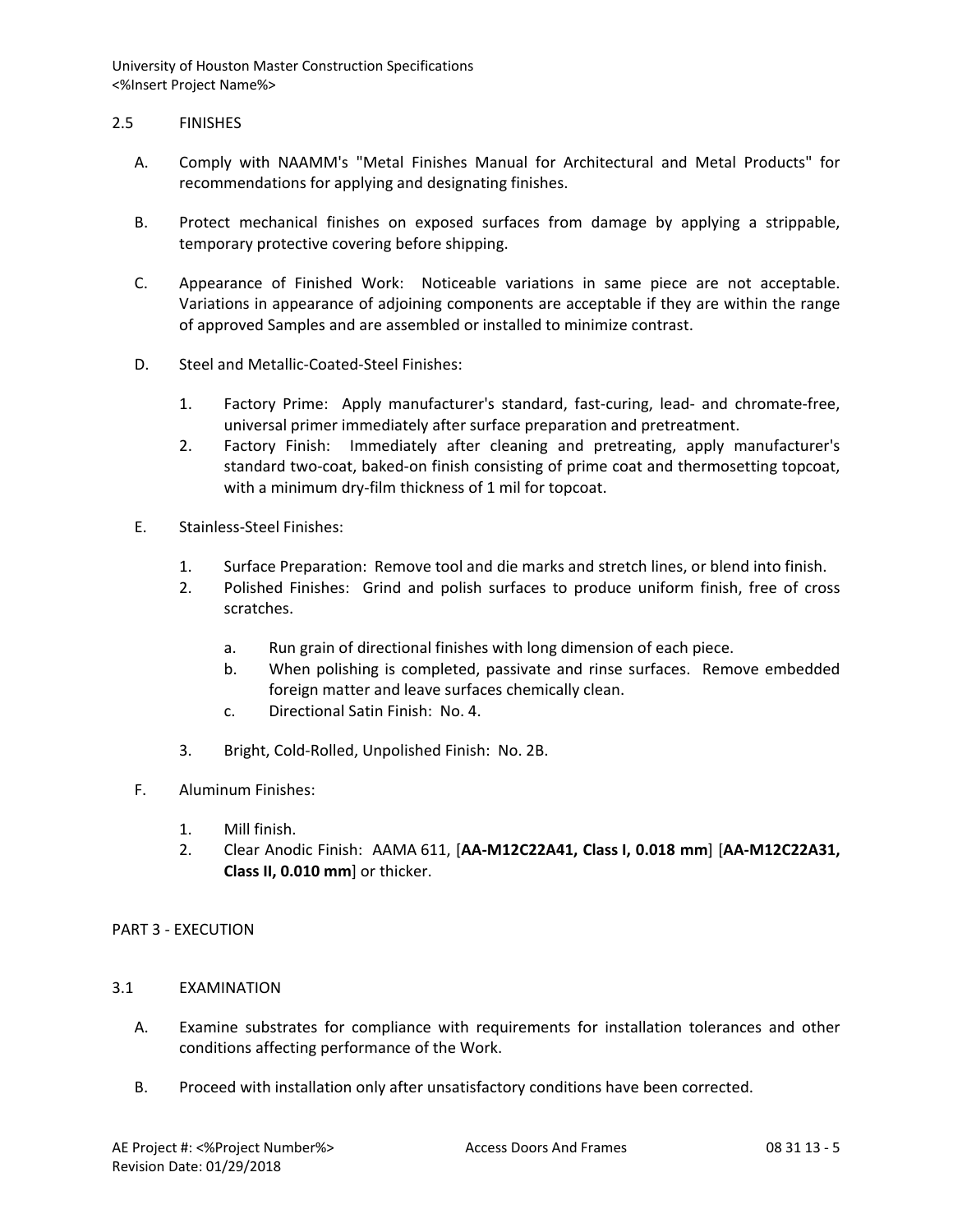## 2.5 FINISHES

- A. Comply with NAAMM's "Metal Finishes Manual for Architectural and Metal Products" for recommendations for applying and designating finishes.
- B. Protect mechanical finishes on exposed surfaces from damage by applying a strippable, temporary protective covering before shipping.
- C. Appearance of Finished Work: Noticeable variations in same piece are not acceptable. Variations in appearance of adjoining components are acceptable if they are within the range of approved Samples and are assembled or installed to minimize contrast.
- D. Steel and Metallic-Coated-Steel Finishes:
	- 1. Factory Prime: Apply manufacturer's standard, fast-curing, lead- and chromate-free, universal primer immediately after surface preparation and pretreatment.
	- 2. Factory Finish: Immediately after cleaning and pretreating, apply manufacturer's standard two-coat, baked-on finish consisting of prime coat and thermosetting topcoat, with a minimum dry-film thickness of 1 mil for topcoat.
- E. Stainless-Steel Finishes:
	- 1. Surface Preparation: Remove tool and die marks and stretch lines, or blend into finish.
	- 2. Polished Finishes: Grind and polish surfaces to produce uniform finish, free of cross scratches.
		- a. Run grain of directional finishes with long dimension of each piece.
		- b. When polishing is completed, passivate and rinse surfaces. Remove embedded foreign matter and leave surfaces chemically clean.
		- c. Directional Satin Finish: No. 4.
	- 3. Bright, Cold-Rolled, Unpolished Finish: No. 2B.
- F. Aluminum Finishes:
	- 1. Mill finish.
	- 2. Clear Anodic Finish: AAMA 611, [**AA-M12C22A41, Class I, 0.018 mm**] [**AA-M12C22A31, Class II, 0.010 mm**] or thicker.

# PART 3 - EXECUTION

- 3.1 EXAMINATION
	- A. Examine substrates for compliance with requirements for installation tolerances and other conditions affecting performance of the Work.
	- B. Proceed with installation only after unsatisfactory conditions have been corrected.